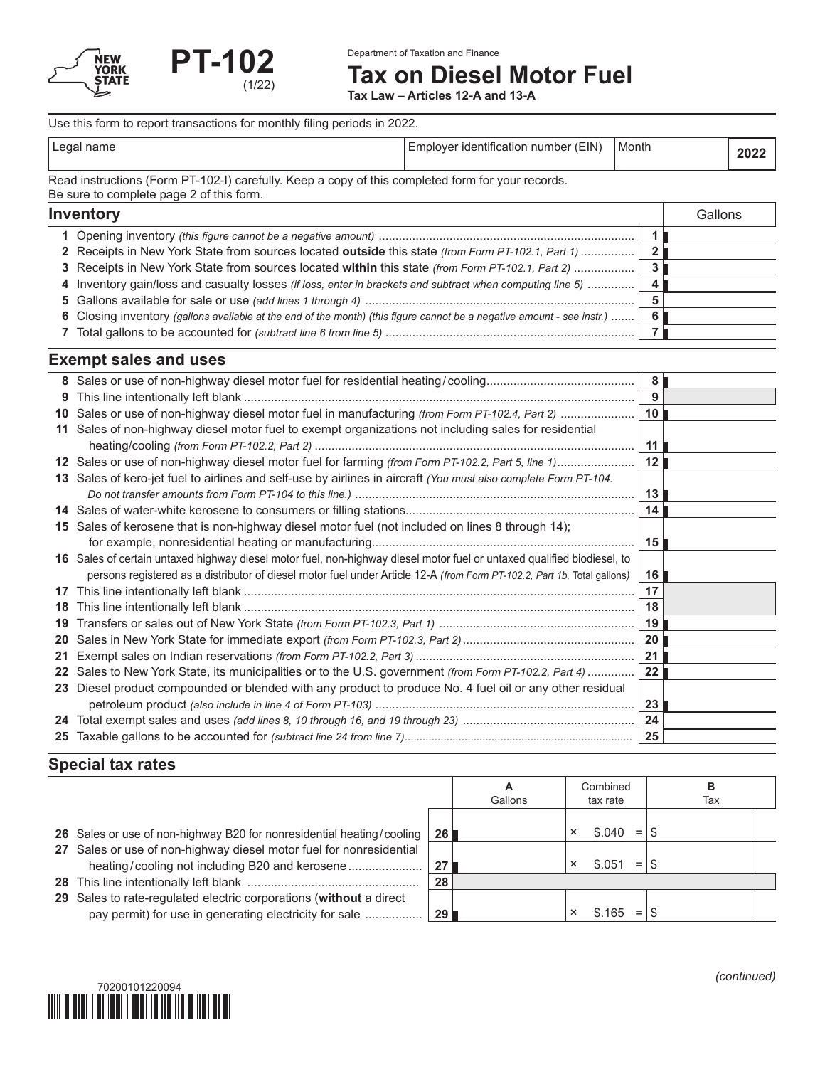

Department of Taxation and Finance

**Tax on Diesel Motor Fuel**

**Tax Law – Articles 12-A and 13-A**

Use this form to report transactions for monthly filing periods in 2022.

| Leo <sup>-</sup><br>nome<br>name<br>. . | ⊢IN<br>tıtıcatınr<br>nent<br>וו<br>nur<br>.oe<br>--- | Month | חכ<br>6 V 4 |
|-----------------------------------------|------------------------------------------------------|-------|-------------|

Read instructions (Form PT-102-I) carefully. Keep a copy of this completed form for your records. Be sure to complete page 2 of this form.

| <b>Inventory</b>                                                                                                       |     | Gallons |
|------------------------------------------------------------------------------------------------------------------------|-----|---------|
|                                                                                                                        |     |         |
| 2 Receipts in New York State from sources located outside this state (from Form PT-102.1, Part 1)                      |     |         |
| 3 Receipts in New York State from sources located within this state (from Form PT-102.1, Part 2)                       | 3   |         |
| 4 Inventory gain/loss and casualty losses (if loss, enter in brackets and subtract when computing line 5)              | - 4 |         |
|                                                                                                                        |     |         |
| 6 Closing inventory (gallons available at the end of the month) (this figure cannot be a negative amount - see instr.) | 6   |         |
|                                                                                                                        |     |         |

# **Exempt sales and uses**

|                 |                                                                                                                          | 8 <sup>1</sup>  |  |
|-----------------|--------------------------------------------------------------------------------------------------------------------------|-----------------|--|
| 9               |                                                                                                                          | 9               |  |
| 10              | Sales or use of non-highway diesel motor fuel in manufacturing (from Form PT-102.4, Part 2)                              | 10 <sup>1</sup> |  |
| 11              | Sales of non-highway diesel motor fuel to exempt organizations not including sales for residential                       |                 |  |
|                 |                                                                                                                          | 11              |  |
|                 | 12 Sales or use of non-highway diesel motor fuel for farming (from Form PT-102.2, Part 5, line 1)                        | 12              |  |
|                 | 13 Sales of kero-jet fuel to airlines and self-use by airlines in aircraft (You must also complete Form PT-104.          |                 |  |
|                 |                                                                                                                          | 13              |  |
|                 |                                                                                                                          | 14 I            |  |
| 15              | Sales of kerosene that is non-highway diesel motor fuel (not included on lines 8 through 14);                            |                 |  |
|                 |                                                                                                                          | 15 <sup>1</sup> |  |
|                 | 16 Sales of certain untaxed highway diesel motor fuel, non-highway diesel motor fuel or untaxed qualified biodiesel, to  |                 |  |
|                 | persons registered as a distributor of diesel motor fuel under Article 12-A (from Form PT-102.2, Part 1b, Total gallons) | 16              |  |
| 17              |                                                                                                                          | 17              |  |
| 18              |                                                                                                                          | 18              |  |
| 19              |                                                                                                                          | 19              |  |
| 20              |                                                                                                                          | 20              |  |
| 21              |                                                                                                                          |                 |  |
| 22 <sub>2</sub> | Sales to New York State, its municipalities or to the U.S. government (from Form PT-102.2, Part 4)                       | 22              |  |
| 23              | Diesel product compounded or blended with any product to produce No. 4 fuel oil or any other residual                    |                 |  |
|                 |                                                                                                                          | 23              |  |
|                 |                                                                                                                          | 24              |  |
|                 |                                                                                                                          | 25              |  |

# **Special tax rates**

|                                                                                                                              |                 | А<br>Gallons |          | Combined<br>tax rate | в<br>Tax |  |
|------------------------------------------------------------------------------------------------------------------------------|-----------------|--------------|----------|----------------------|----------|--|
| 26 Sales or use of non-highway B20 for nonresidential heating/cooling                                                        | 26 <sup>1</sup> |              | $\times$ | \$.040<br>$=$        |          |  |
| 27 Sales or use of non-highway diesel motor fuel for nonresidential                                                          | 27              |              |          | $=$<br>\$ 051        |          |  |
|                                                                                                                              | 28              |              |          |                      |          |  |
| 29 Sales to rate-regulated electric corporations (without a direct<br>pay permit) for use in generating electricity for sale | <b>29</b> l     |              |          | \$.165<br>$=$        |          |  |